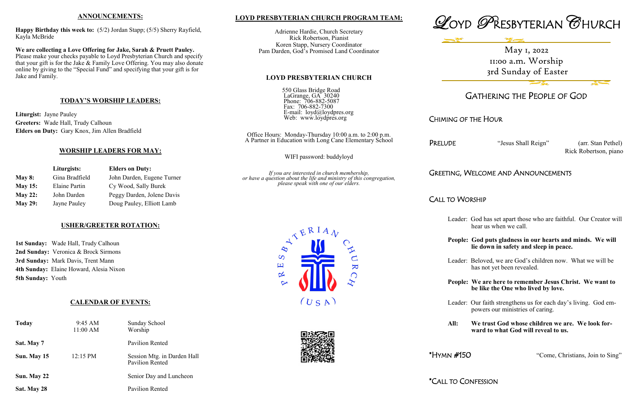## **LOYD PRESBYTERIAN CHURCH PROGRAM TEAM:**

Adrienne Hardie, Church Secretary Rick Robertson, Pianist Koren Stapp, Nursery Coordinator Pam Darden, God's Promised Land Coordinator

#### **LOYD PRESBYTERIAN CHURCH**

550 Glass Bridge Road LaGrange, GA 30240 Phone: 706-882-5087 Fax: 706-882-7300 E-mail: loyd@loydpres.org Web: www.loydpres.org

> Office Hours: Monday-Thursday 10:00 a.m. to 2:00 p.m. A Partner in Education with Long Cane Elementary School

PRELUDE "Jesus Shall Reign" (arr. Stan Pethel) Rick Robertson, piano

WIFI password: buddyloyd

*If you are interested in church membership, or have a question about the life and ministry of this congregation, please speak with one of our elders.*





# GATHERING THE PEOPLE OF GOD

# CHIMING OF THE HOUR

# GREETING, WELCOME AND ANNOUNCEMENTS

CALL TO WORSHIP

- Leader: God has set apart those who are faithful. Our Creator will hear us when we call.
- **People: God puts gladness in our hearts and minds. We will lie down in safety and sleep in peace.**
- Leader: Beloved, we are God's children now. What we will be has not yet been revealed.
- **People: We are here to remember Jesus Christ. We want to be like the One who lived by love.**
- Leader: Our faith strengthens us for each day's living. God em powers our ministries of caring.
- **All: We trust God whose children we are. We look for ward to what God will reveal to us.**

\*HYMN #150 "Come, Christians, Join to Sing"

\*CALL TO CONFESSION





## **ANNOUNCEMENTS:**

**Happy Birthday this week to:** (5/2) Jordan Stapp; (5/5) Sherry Rayfield, Kayla McBride

**We are collecting a Love Offering for Jake, Sarah & Pruett Pauley.**  Please make your checks payable to Loyd Presbyterian Church and specify that your gift is for the Jake & Family Love Offering. You may also donate online by giving to the "Special Fund" and specifying that your gift is for Jake and Family.

# **TODAY'S WORSHIP LEADERS:**

**Liturgist:** Jayne Pauley **Greeters:** Wade Hall, Trudy Calhoun **Elders on Duty:** Gary Knox, Jim Allen Bradfield

# **WORSHIP LEADERS FOR MAY:**

|                | Liturgists:          | <b>Elders on Duty:</b>     |
|----------------|----------------------|----------------------------|
| May $8:$       | Gina Bradfield       | John Darden, Eugene Turner |
| <b>May 15:</b> | <b>Elaine Partin</b> | Cy Wood, Sally Burek       |
| <b>May 22:</b> | John Darden          | Peggy Darden, Jolene Davis |
| <b>May 29:</b> | Jayne Pauley         | Doug Pauley, Elliott Lamb  |

# **USHER/GREETER ROTATION:**

**1st Sunday:** Wade Hall, Trudy Calhoun **2nd Sunday:** Veronica & Brock Sirmons **3rd Sunday:** Mark Davis, Trent Mann **4th Sunday:** Elaine Howard, Alesia Nixon **5th Sunday:** Youth

# **CALENDAR OF EVENTS:**

| <b>Today</b> | 9:45 AM<br>11:00 AM | <b>Sunday School</b><br>Worship                       |
|--------------|---------------------|-------------------------------------------------------|
| Sat. May 7   |                     | Pavilion Rented                                       |
| Sun. May 15  | 12:15 PM            | Session Mtg. in Darden Hall<br><b>Pavilion Rented</b> |
| Sun. May 22  |                     | Senior Day and Luncheon                               |
| Sat. May 28  |                     | <b>Pavilion Rented</b>                                |

May 1, 2022 11:00 a.m. Worship 3rd Sunday of Easter